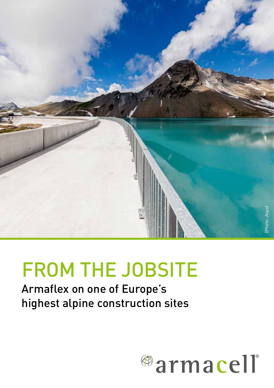

# FROM THE JOBSITE

Armaflex on one of Europe's highest alpine construction sites

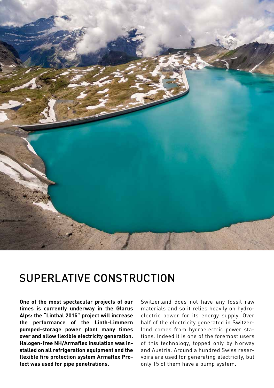

## SUPERLATIVE CONSTRUCTION

**One of the most spectacular projects of our times is currently underway in the Glarus Alps: the "Linthal 2015" project will increase the performance of the Linth-Limmern pumped-storage power plant many times over and allow flexible electricity generation. Halogen-free NH/Armaflex insulation was installed on all refrigeration equipment and the flexible fire protection system Armaflex Protect was used for pipe penetrations.** 

Switzerland does not have any fossil raw materials and so it relies heavily on hydroelectric power for its energy supply. Over half of the electricity generated in Switzerland comes from hydroelectric power stations. Indeed it is one of the foremost users of this technology, topped only by Norway and Austria. Around a hundred Swiss reservoirs are used for generating electricity, but only 15 of them have a pump system.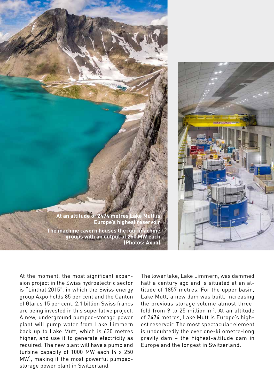

At the moment, the most significant expansion project in the Swiss hydroelectric sector is "Linthal 2015", in which the Swiss energy group Axpo holds 85 per cent and the Canton of Glarus 15 per cent. 2.1 billion Swiss francs are being invested in this superlative project. A new, underground pumped-storage power plant will pump water from Lake Limmern back up to Lake Mutt, which is 630 metres higher, and use it to generate electricity as required. The new plant will have a pump and turbine capacity of 1000 MW each (4 x 250 MW), making it the most powerful pumpedstorage power plant in Switzerland.

The lower lake, Lake Limmern, was dammed half a century ago and is situated at an altitude of 1857 metres. For the upper basin, Lake Mutt, a new dam was built, increasing the previous storage volume almost threefold from 9 to 25 million  $m^3$ . At an altitude of 2474 metres, Lake Mutt is Europe's highest reservoir. The most spectacular element is undoubtedly the over one-kilometre-long gravity dam – the highest-altitude dam in Europe and the longest in Switzerland.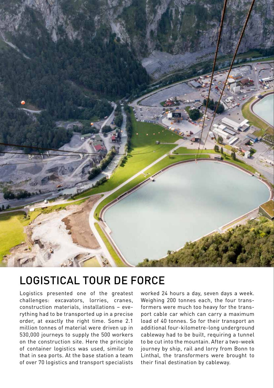

## LOGISTICAL TOUR DE FORCE

Logistics presented one of the greatest challenges: excavators, lorries, cranes, construction materials, installations – everything had to be transported up in a precise order, at exactly the right time. Some 2.1 million tonnes of material were driven up in 530,000 journeys to supply the 500 workers on the construction site. Here the principle of container logistics was used, similar to that in sea ports. At the base station a team of over 70 logistics and transport specialists worked 24 hours a day, seven days a week. Weighing 200 tonnes each, the four transformers were much too heavy for the transport cable car which can carry a maximum load of 40 tonnes. So for their transport an additional four-kilometre-long underground cableway had to be built, requiring a tunnel to be cut into the mountain. After a two-week journey by ship, rail and lorry from Bonn to Linthal, the transformers were brought to their final destination by cableway.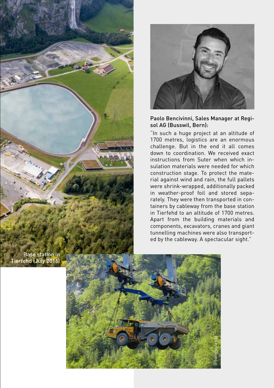



#### Paolo Bencivinni, Sales Manager at Regisol AG (Busswil, Bern):

"In such a huge project at an altitude of 1700 metres, logistics are an enormous challenge. But in the end it all comes down to coordination. We received exact instructions from Suter when which insulation materials were needed for which construction stage. To protect the material against wind and rain, the full pallets were shrink-wrapped, additionally packed in weather-proof foil and stored separately. They were then transported in containers by cableway from the base station in Tierfehd to an altitude of 1700 metres. Apart from the building materials and components, excavators, cranes and giant tunnelling machines were also transported by the cableway. A spectacular sight."

Tierfehd (July 2016)

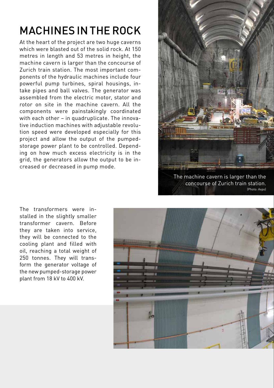# MACHINES IN THE ROCK

At the heart of the project are two huge caverns which were blasted out of the solid rock. At 150 metres in length and 53 metres in height, the machine cavern is larger than the concourse of Zurich train station. The most important components of the hydraulic machines include four powerful pump turbines, spiral housings, intake pipes and ball valves. The generator was assembled from the electric motor, stator and rotor on site in the machine cavern. All the components were painstakingly coordinated with each other – in quadruplicate. The innovative induction machines with adjustable revolution speed were developed especially for this project and allow the output of the pumped-storage power plant to be controlled. Depending on how much excess electricity is in the grid, the generators allow the output to be increased or decreased in pump mode.



The machine cavern is larger than the concourse of Zurich train station. (Photo: Axpo)

The transformers were installed in the slightly smaller transformer cavern. Before they are taken into service, they will be connected to the cooling plant and filled with oil, reaching a total weight of 250 tonnes. They will transform the generator voltage of the new pumped-storage power plant from 18 kV to 400 kV.

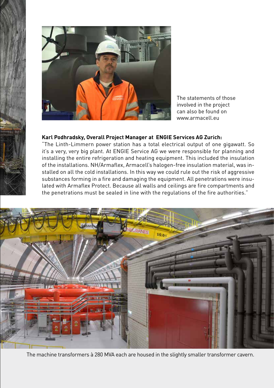

The statements of those involved in the project can also be found on www.armacell.eu

#### **Karl Podhradsky, Overall Project Manager at ENGIE Services AG Zurich:**

"The Linth-Limmern power station has a total electrical output of one gigawatt. So it's a very, very big plant. At ENGIE Service AG we were responsible for planning and installing the entire refrigeration and heating equipment. This included the insulation of the installations. NH/Armaflex, Armacell's halogen-free insulation material, was installed on all the cold installations. In this way we could rule out the risk of aggressive substances forming in a fire and damaging the equipment. All penetrations were insulated with Armaflex Protect. Because all walls and ceilings are fire compartments and the penetrations must be sealed in line with the regulations of the fire authorities."



The machine transformers à 280 MVA each are housed in the slightly smaller transformer cavern.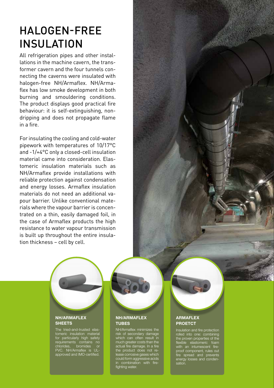# HALOGEN-FREE INSULATION

All refrigeration pipes and other installations in the machine cavern, the transformer cavern and the four tunnels connecting the caverns were insulated with halogen-free NH/Armaflex. NH/Armaflex has low smoke development in both burning and smouldering conditions. The product displays good practical fire behaviour: it is self-extinguishing, nondripping and does not propagate flame in a fire.

For insulating the cooling and cold-water pipework with temperatures of 10/17°C and -1/+4°C only a closed-cell insulation material came into consideration. Elastomeric insulation materials such as NH/Armaflex provide installations with reliable protection against condensation and energy losses. Armaflex insulation materials do not need an additional vapour barrier. Unlike conventional materials where the vapour barrier is concentrated on a thin, easily damaged foil, in the case of Armaflex products the high resistance to water vapour transmission is built up throughout the entire insulation thickness – cell by cell.



The tried-and-trusted elastomeric insulation material for particularly high safety requirements contains no chlorides, bromides or PVC. NH/Armaflex is ULapproved and IMO-certified.

#### NH/ARMAFLEX **TUBES**

NH/Armaflex minimizes the risk of secondary damage which can often result in much greater costs than the actual fire damage. In a fire the product does not release corrosive gases which could form aggressive acids in combination with firefighting water.

#### ARMAFLEX **PROETCT**

Insulation and fire protection rolled into one: combining the proven properties of the flexible elastomeric foam with an intumescent fireproof component, rules out fire spread and prevents energy losses and condensation.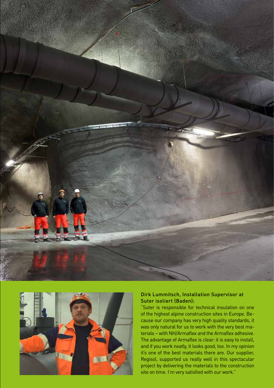



#### Dirk Lummitsch, Installation Supervisor at Suter isoliert (Baden):

"Suter is responsible for technical insulation on one of the highest alpine construction sites in Europe. Because our company has very high quality standards, it was only natural for us to work with the very best materials – with NH/Armaflex and the Armaflex adhesive. The advantage of Armaflex is clear: it is easy to install, and if you work neatly, it looks good, too. In my opinion it's one of the best materials there are. Our supplier, Regisol, supported us really well in this spectacular project by delivering the materials to the construction site on time. I'm very satisfied with our work."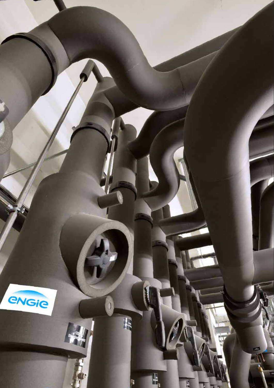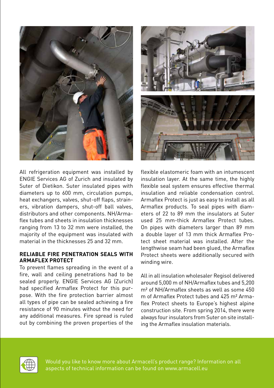

All refrigeration equipment was installed by ENGIE Services AG of Zurich and insulated by Suter of Dietikon. Suter insulated pipes with diameters up to 600 mm, circulation pumps, heat exchangers, valves, shut-off flaps, strainers, vibration dampers, shut-off ball valves, distributors and other components. NH/Armaflex tubes and sheets in insulation thicknesses ranging from 13 to 32 mm were installed, the majority of the equipment was insulated with material in the thicknesses 25 and 32 mm.

#### **RELIABLE FIRE PENETRATION SEALS WITH ARMAFLEX PROTECT**

To prevent flames spreading in the event of a fire, wall and ceiling penetrations had to be sealed properly. ENGIE Services AG (Zurich) had specified Armaflex Protect for this purpose. With the fire protection barrier almost all types of pipe can be sealed achieving a fire resistance of 90 minutes without the need for any additional measures. Fire spread is ruled out by combining the proven properties of the



flexible elastomeric foam with an intumescent insulation layer. At the same time, the highly flexible seal system ensures effective thermal insulation and reliable condensation control. Armaflex Protect is just as easy to install as all Armaflex products. To seal pipes with diameters of 22 to 89 mm the insulators at Suter used 25 mm-thick Armaflex Protect tubes. On pipes with diameters larger than 89 mm a double layer of 13 mm thick Armaflex Protect sheet material was installed. After the lengthwise seam had been glued, the Armaflex Protect sheets were additionally secured with winding wire.

All in all insulation wholesaler Regisol delivered around 5,000 m of NH/Armaflex tubes and 5,200 m² of NH/Armaflex sheets as well as some 450 m of Armaflex Protect tubes and 425 m² Armaflex Protect sheets to Europe's highest alpine construction site. From spring 2014, there were always four insulators from Suter on site installing the Armaflex insulation materials.



Would you like to know more about Armacell's product range? Information on all aspects of technical information can be found on www.armacell.eu